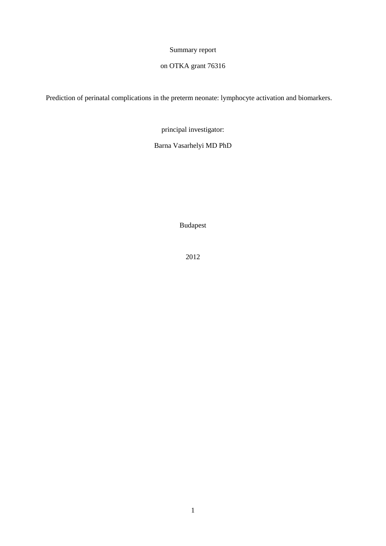# Summary report

# on OTKA grant 76316

Prediction of perinatal complications in the preterm neonate: lymphocyte activation and biomarkers.

principal investigator:

Barna Vasarhelyi MD PhD

Budapest

2012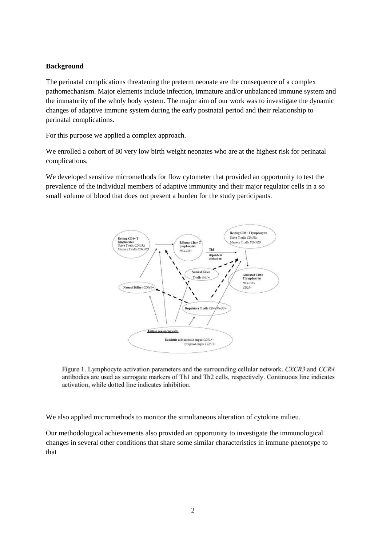### **Background**

The perinatal complications threatening the preterm neonate are the consequence of a complex pathomechanism. Major elements include infection, immature and/or unbalanced immune system and the immaturity of the wholy body system. The major aim of our work was to investigate the dynamic changes of adaptive immune system during the early postnatal period and their relationship to perinatal complications.

For this purpose we applied a complex approach.

We enrolled a cohort of 80 very low birth weight neonates who are at the highest risk for perinatal complications.

We developed sensitive micromethods for flow cytometer that provided an opportunity to test the prevalence of the individual members of adaptive immunity and their major regulator cells in a so small volume of blood that does not present a burden for the study participants.



Figure 1. Lymphocyte activation parameters and the surrounding cellular network. CXCR3 and CCR4 antibodies are used as surrogate markers of Th1 and Th2 cells, respectively. Continuous line indicates activation, while dotted line indicates inhibition.

We also applied micromethods to monitor the simultaneous alteration of cytokine milieu.

Our methodological achievements also provided an opportunity to investigate the immunological changes in several other conditions that share some similar characteristics in immune phenotype to that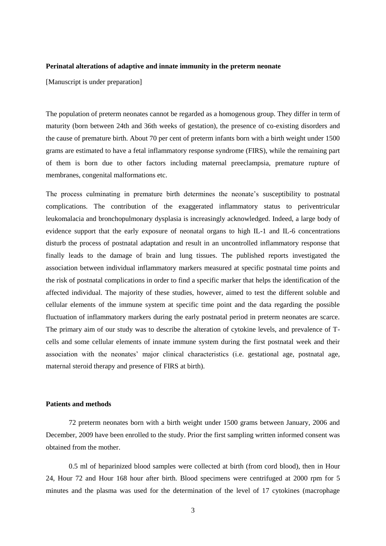#### **Perinatal alterations of adaptive and innate immunity in the preterm neonate**

[Manuscript is under preparation]

The population of preterm neonates cannot be regarded as a homogenous group. They differ in term of maturity (born between 24th and 36th weeks of gestation), the presence of co-existing disorders and the cause of premature birth. About 70 per cent of preterm infants born with a birth weight under 1500 grams are estimated to have a fetal inflammatory response syndrome (FIRS), while the remaining part of them is born due to other factors including maternal preeclampsia, premature rupture of membranes, congenital malformations etc.

The process culminating in premature birth determines the neonate's susceptibility to postnatal complications. The contribution of the exaggerated inflammatory status to periventricular leukomalacia and bronchopulmonary dysplasia is increasingly acknowledged. Indeed, a large body of evidence support that the early exposure of neonatal organs to high IL-1 and IL-6 concentrations disturb the process of postnatal adaptation and result in an uncontrolled inflammatory response that finally leads to the damage of brain and lung tissues. The published reports investigated the association between individual inflammatory markers measured at specific postnatal time points and the risk of postnatal complications in order to find a specific marker that helps the identification of the affected individual. The majority of these studies, however, aimed to test the different soluble and cellular elements of the immune system at specific time point and the data regarding the possible fluctuation of inflammatory markers during the early postnatal period in preterm neonates are scarce. The primary aim of our study was to describe the alteration of cytokine levels, and prevalence of Tcells and some cellular elements of innate immune system during the first postnatal week and their association with the neonates' major clinical characteristics (i.e. gestational age, postnatal age, maternal steroid therapy and presence of FIRS at birth).

#### **Patients and methods**

72 preterm neonates born with a birth weight under 1500 grams between January, 2006 and December, 2009 have been enrolled to the study. Prior the first sampling written informed consent was obtained from the mother.

0.5 ml of heparinized blood samples were collected at birth (from cord blood), then in Hour 24, Hour 72 and Hour 168 hour after birth. Blood specimens were centrifuged at 2000 rpm for 5 minutes and the plasma was used for the determination of the level of 17 cytokines (macrophage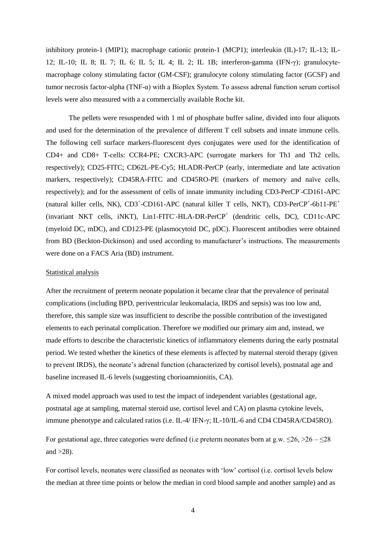inhibitory protein-1 (MIP1); macrophage cationic protein-1 (MCP1); interleukin (IL)-17; IL-13; IL-12; IL-10; IL 8; IL 7; IL 6; IL 5; IL 4; IL 2; IL 1B; interferon-gamma (IFN-γ); granulocytemacrophage colony stimulating factor (GM-CSF); granulocyte colony stimulating factor (GCSF) and tumor necrosis factor-alpha (TNF- $\alpha$ ) with a Bioplex System. To assess adrenal function serum cortisol levels were also measured with a a commercially available Roche kit.

The pellets were resuspended with 1 ml of phosphate buffer saline, divided into four aliquots and used for the determination of the prevalence of different T cell subsets and innate immune cells. The following cell surface markers-fluorescent dyes conjugates were used for the identification of CD4+ and CD8+ T-cells: CCR4-PE; CXCR3-APC (surrogate markers for Th1 and Th2 cells, respectively); CD25-FITC; CD62L-PE-Cy5; HLADR-PerCP (early, intermediate and late activation markers, respectively); CD45RA-FITC and CD45RO-PE (markers of memory and naïve cells, respectively); and for the assessment of cells of innate immunity including CD3-PerCP-CD161-APC (natural killer cells, NK), CD3<sup>+</sup>-CD161-APC (natural killer T cells, NKT), CD3-PerCP<sup>+</sup>-6b11-PE<sup>+</sup> (invariant NKT cells, iNKT), Lin1-FITC-HLA-DR-PerCP<sup>+</sup> (dendritic cells, DC), CD11c-APC (myeloid DC, mDC), and CD123-PE (plasmocytoid DC, pDC). Fluorescent antibodies were obtained from BD (Beckton-Dickinson) and used according to manufacturer's instructions. The measurements were done on a FACS Aria (BD) instrument.

#### Statistical analysis

After the recruitment of preterm neonate population it became clear that the prevalence of perinatal complications (including BPD, periventricular leukomalacia, IRDS and sepsis) was too low and, therefore, this sample size was insufficient to describe the possible contribution of the investigated elements to each perinatal complication. Therefore we modified our primary aim and, instead, we made efforts to describe the characteristic kinetics of inflammatory elements during the early postnatal period. We tested whether the kinetics of these elements is affected by maternal steroid therapy (given to prevent IRDS), the neonate's adrenal function (characterized by cortisol levels), postnatal age and baseline increased IL-6 levels (suggesting chorioamnionitis, CA).

A mixed model approach was used to test the impact of independent variables (gestational age, postnatal age at sampling, maternal steroid use, cortisol level and CA) on plasma cytokine levels, immune phenotype and calculated ratios (i.e. IL-4/ IFN-γ; IL-10/IL-6 and CD4 CD45RA/CD45RO).

For gestational age, three categories were defined (i.e preterm neonates born at g.w.  $\leq 26$ ,  $> 26 - \leq 28$ and  $>28$ ).

For cortisol levels, neonates were classified as neonates with 'low' cortisol (i.e. cortisol levels below the median at three time points or below the median in cord blood sample and another sample) and as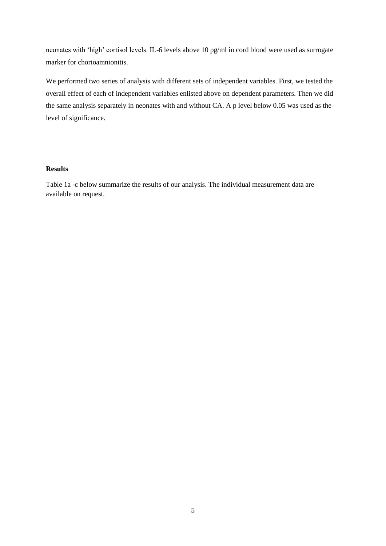neonates with 'high' cortisol levels. IL-6 levels above 10 pg/ml in cord blood were used as surrogate marker for chorioamnionitis.

We performed two series of analysis with different sets of independent variables. First, we tested the overall effect of each of independent variables enlisted above on dependent parameters. Then we did the same analysis separately in neonates with and without CA. A p level below 0.05 was used as the level of significance.

# **Results**

Table 1a -c below summarize the results of our analysis. The individual measurement data are available on request.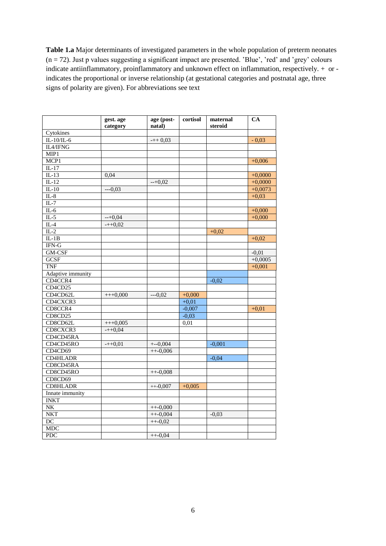**Table 1.a** Major determinants of investigated parameters in the whole population of preterm neonates  $(n = 72)$ . Just p values suggesting a significant impact are presented. 'Blue', 'red' and 'grey' colours indicate antiinflammatory, proinflammatory and unknown effect on inflammation, respectively. + or indicates the proportional or inverse relationship (at gestational categories and postnatal age, three signs of polarity are given). For abbreviations see text

|                   | gest. age<br>category | age (post-<br>natal) | cortisol | maternal<br>steroid | <b>CA</b> |
|-------------------|-----------------------|----------------------|----------|---------------------|-----------|
| Cytokines         |                       |                      |          |                     |           |
| $IL-10/IL-6$      |                       | $-++0,03$            |          |                     | $-0.03$   |
| IL4/IFNG          |                       |                      |          |                     |           |
| MIP1              |                       |                      |          |                     |           |
| MCP <sub>1</sub>  |                       |                      |          |                     | $+0,006$  |
| $IL-17$           |                       |                      |          |                     |           |
| $IL-13$           | 0,04                  |                      |          |                     | $+0,0000$ |
| $IL-12$           |                       | $-+0.02$             |          |                     | $+0,0000$ |
| $IL-10$           | $--0,03$              |                      |          |                     | $+0,0073$ |
| $IL-8$            |                       |                      |          |                     | $+0,03$   |
| $IL-7$            |                       |                      |          |                     |           |
| $IL-6$            |                       |                      |          |                     | $+0,000$  |
| $IL-5$            | $-+0.04$              |                      |          |                     | $+0,000$  |
| $IL-4$            | $-+0,02$              |                      |          |                     |           |
| $IL-2$            |                       |                      |          | $+0.02$             |           |
| $IL-1B$           |                       |                      |          |                     | $+0,02$   |
| $IFN-G$           |                       |                      |          |                     |           |
| GM-CSF            |                       |                      |          |                     | $-0.01$   |
| <b>GCSF</b>       |                       |                      |          |                     | $+0,0005$ |
| <b>TNF</b>        |                       |                      |          |                     | $+0,001$  |
| Adaptive immunity |                       |                      |          |                     |           |
| CD4CCR4           |                       |                      |          | $-0,02$             |           |
| CD4CD25           |                       |                      |          |                     |           |
| CD4CD62L          | $+++0,000$            | $---0.02$            | $+0,000$ |                     |           |
| CD4CXCR3          |                       |                      | $+0,01$  |                     |           |
| CD8CCR4           |                       |                      | $-0,007$ |                     | $+0.01$   |
| CD8CD25           |                       |                      | $-0,03$  |                     |           |
| CD8CD62L          | $+++0,005$            |                      | 0,01     |                     |           |
| CD8CXCR3          | $-++0.04$             |                      |          |                     |           |
| CD4CD45RA         |                       |                      |          |                     |           |
| CD4CD45RO         | $-+0,01$              | $+-0,004$            |          | $-0,001$            |           |
| CD4CD69           |                       | $++-0,006$           |          |                     |           |
| <b>CD4HLADR</b>   |                       |                      |          | $-0,04$             |           |
| CD8CD45RA         |                       |                      |          |                     |           |
| CD8CD45RO         |                       | $++-0,008$           |          |                     |           |
| CD8CD69           |                       |                      |          |                     |           |
| CD8HLADR          |                       | $_{++-0,007}$        | $+0.005$ |                     |           |
| Innate immunity   |                       |                      |          |                     |           |
| <b>INKT</b>       |                       |                      |          |                     |           |
| $N\overline{K}$   |                       | $++-0,000$           |          |                     |           |
| <b>NKT</b>        |                       | $++-0,004$           |          | $-0.03$             |           |
| $\overline{DC}$   |                       | $++-0.02$            |          |                     |           |
| <b>MDC</b>        |                       |                      |          |                     |           |
| PDC               |                       | $++-0,04$            |          |                     |           |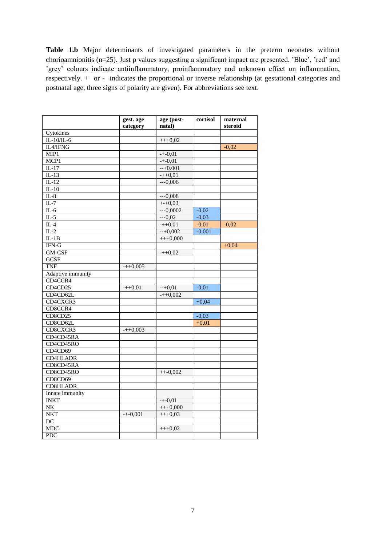Table 1.b Major determinants of investigated parameters in the preterm neonates without chorioamnionitis (n=25). Just p values suggesting a significant impact are presented. 'Blue', 'red' and 'grey' colours indicate antiinflammatory, proinflammatory and unknown effect on inflammation, respectively. + or - indicates the proportional or inverse relationship (at gestational categories and postnatal age, three signs of polarity are given). For abbreviations see text.

|                        | gest. age<br>category | age (post-<br>natal) | cortisol | maternal<br>steroid |
|------------------------|-----------------------|----------------------|----------|---------------------|
| Cytokines              |                       |                      |          |                     |
| IL-10/IL-6             |                       | $+++0,02$            |          |                     |
| IL4/IFNG               |                       |                      |          | $-0.02$             |
| MIP1                   |                       | $-+0,01$             |          |                     |
| MCP1                   |                       | $-+0.01$             |          |                     |
| $IL-17$                |                       | $-+0.001$            |          |                     |
| $IL-13$                |                       | $-+0,01$             |          |                     |
| $IL-12$                |                       | $--0.006$            |          |                     |
| $IL-10$                |                       |                      |          |                     |
| $IL-8$                 |                       | $--0,008$            |          |                     |
| $IL-7$                 |                       | $+-+0,03$            |          |                     |
| $IL-6$                 |                       | $--0,0002$           | $-0,02$  |                     |
| $IL-5$                 |                       | $---0,02$            | $-0,03$  |                     |
| $IL-4$                 |                       | $-+0,01$             | $-0,01$  | $-0,02$             |
| $IL-2$                 |                       | $-+0.002$            | $-0,001$ |                     |
| $IL-1B$                |                       | $+++0,000$           |          |                     |
| IFN-G                  |                       |                      |          | $+0,04$             |
| GM-CSF                 |                       | $-+0,02$             |          |                     |
| <b>GCSF</b>            |                       |                      |          |                     |
| TNF                    | $-+0.005$             |                      |          |                     |
| Adaptive immunity      |                       |                      |          |                     |
| CD4CCR4                |                       |                      |          |                     |
| CD4CD25                | $-+0.01$              | $-+0.01$             | $-0,01$  |                     |
| CD4CD62L               |                       | $-+0,002$            |          |                     |
| CD4CXCR3               |                       |                      | $+0,04$  |                     |
| CD8CCR4                |                       |                      |          |                     |
| CD8CD25                |                       |                      | $-0,03$  |                     |
| CD8CD62L               |                       |                      | $+0,01$  |                     |
| CD8CXCR3               | $-+0,003$             |                      |          |                     |
| CD4CD45RA              |                       |                      |          |                     |
| CD4CD45RO              |                       |                      |          |                     |
| CD4CD69                |                       |                      |          |                     |
| <b>CD4HLADR</b>        |                       |                      |          |                     |
| CD8CD45RA              |                       |                      |          |                     |
| CD8CD45RO              |                       | $++-0,002$           |          |                     |
| CD8CD69                |                       |                      |          |                     |
| <b>CD8HLADR</b>        |                       |                      |          |                     |
| Innate immunity        |                       |                      |          |                     |
| <b>INKT</b>            |                       | $-+0.01$             |          |                     |
| $\overline{\text{NK}}$ |                       | $+++0,000$           |          |                     |
| NKT                    | $-+0,001$             |                      |          |                     |
| $\overline{DC}$        |                       | $+++0,03$            |          |                     |
|                        |                       |                      |          |                     |
| <b>MDC</b>             |                       | $+++0,02$            |          |                     |
| <b>PDC</b>             |                       |                      |          |                     |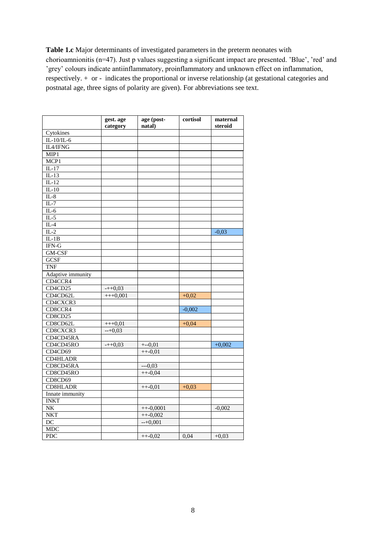**Table 1.c** Major determinants of investigated parameters in the preterm neonates with chorioamnionitis (n=47). Just p values suggesting a significant impact are presented. 'Blue', 'red' and 'grey' colours indicate antiinflammatory, proinflammatory and unknown effect on inflammation, respectively. + or - indicates the proportional or inverse relationship (at gestational categories and postnatal age, three signs of polarity are given). For abbreviations see text.

|                           | gest. age<br>category | age (post-<br>natal) | cortisol | maternal<br>steroid |
|---------------------------|-----------------------|----------------------|----------|---------------------|
| Cytokines                 |                       |                      |          |                     |
| $IL-10/IL-6$              |                       |                      |          |                     |
| IL4/IFNG                  |                       |                      |          |                     |
| MIP1                      |                       |                      |          |                     |
| MCP1                      |                       |                      |          |                     |
| $IL-17$                   |                       |                      |          |                     |
| $IL-13$                   |                       |                      |          |                     |
| $\overline{\text{IL-12}}$ |                       |                      |          |                     |
| $IL-10$                   |                       |                      |          |                     |
| $IL-8$                    |                       |                      |          |                     |
| $\overline{\text{IL-7}}$  |                       |                      |          |                     |
| $IL-6$                    |                       |                      |          |                     |
| $IL-5$                    |                       |                      |          |                     |
| $IL-4$                    |                       |                      |          |                     |
| $\overline{\text{IL-2}}$  |                       |                      |          | $-0,03$             |
| $IL-1B$                   |                       |                      |          |                     |
| IFN-G                     |                       |                      |          |                     |
| GM-CSF                    |                       |                      |          |                     |
| <b>GCSF</b>               |                       |                      |          |                     |
| <b>TNF</b>                |                       |                      |          |                     |
| Adaptive immunity         |                       |                      |          |                     |
| CD4CCR4                   |                       |                      |          |                     |
| CD4CD25                   | $-+0.03$              |                      |          |                     |
| CD4CD62L                  | $+++0,001$            |                      | $+0,02$  |                     |
| CD4CXCR3                  |                       |                      |          |                     |
| CD8CCR4                   |                       |                      | $-0,002$ |                     |
| CD8CD25                   |                       |                      |          |                     |
| CD8CD62L                  | $+++0,01$             |                      | $+0,04$  |                     |
| CD8CXCR3                  | $-+0,03$              |                      |          |                     |
| CD4CD45RA                 |                       |                      |          |                     |
| CD4CD45RO                 | $-+0,03$              | $+-0,01$             |          | $+0,002$            |
| CD4CD69                   |                       | $++-0,01$            |          |                     |
| <b>CD4HLADR</b>           |                       |                      |          |                     |
| CD8CD45RA                 |                       | $--0,03$             |          |                     |
| CD8CD45RO                 |                       | $++-0,04$            |          |                     |
| CD8CD69                   |                       |                      |          |                     |
| <b>CD8HLADR</b>           |                       | $_{++-0,01}$         | $+0.03$  |                     |
| Innate immunity           |                       |                      |          |                     |
| <b>INKT</b>               |                       |                      |          |                     |
| NK                        |                       | $++-0,0001$          |          | $-0,002$            |
| <b>NKT</b>                |                       | $++-0,002$           |          |                     |
| $\overline{DC}$           |                       | $-+0,001$            |          |                     |
| <b>MDC</b>                |                       |                      |          |                     |
| <b>PDC</b>                |                       | $++-0,02$            | 0,04     | $+0.03$             |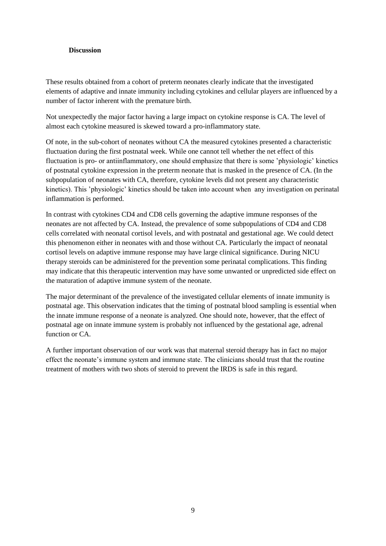### **Discussion**

These results obtained from a cohort of preterm neonates clearly indicate that the investigated elements of adaptive and innate immunity including cytokines and cellular players are influenced by a number of factor inherent with the premature birth.

Not unexpectedly the major factor having a large impact on cytokine response is CA. The level of almost each cytokine measured is skewed toward a pro-inflammatory state.

Of note, in the sub-cohort of neonates without CA the measured cytokines presented a characteristic fluctuation during the first postnatal week. While one cannot tell whether the net effect of this fluctuation is pro- or antiinflammatory, one should emphasize that there is some 'physiologic' kinetics of postnatal cytokine expression in the preterm neonate that is masked in the presence of CA. (In the subpopulation of neonates with CA, therefore, cytokine levels did not present any characteristic kinetics). This 'physiologic' kinetics should be taken into account when any investigation on perinatal inflammation is performed.

In contrast with cytokines CD4 and CD8 cells governing the adaptive immune responses of the neonates are not affected by CA. Instead, the prevalence of some subpopulations of CD4 and CD8 cells correlated with neonatal cortisol levels, and with postnatal and gestational age. We could detect this phenomenon either in neonates with and those without CA. Particularly the impact of neonatal cortisol levels on adaptive immune response may have large clinical significance. During NICU therapy steroids can be administered for the prevention some perinatal complications. This finding may indicate that this therapeutic intervention may have some unwanted or unpredicted side effect on the maturation of adaptive immune system of the neonate.

The major determinant of the prevalence of the investigated cellular elements of innate immunity is postnatal age. This observation indicates that the timing of postnatal blood sampling is essential when the innate immune response of a neonate is analyzed. One should note, however, that the effect of postnatal age on innate immune system is probably not influenced by the gestational age, adrenal function or  $CA$ 

A further important observation of our work was that maternal steroid therapy has in fact no major effect the neonate's immune system and immune state. The clinicians should trust that the routine treatment of mothers with two shots of steroid to prevent the IRDS is safe in this regard.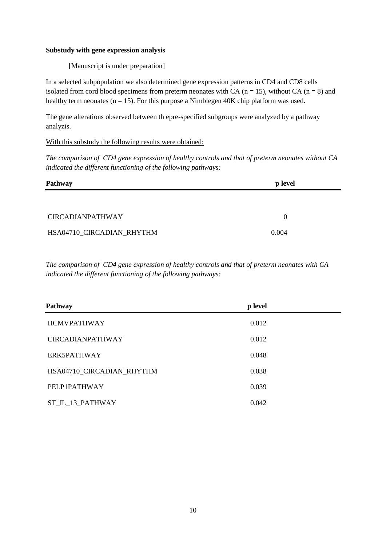### **Substudy with gene expression analysis**

[Manuscript is under preparation]

In a selected subpopulation we also determined gene expression patterns in CD4 and CD8 cells isolated from cord blood specimens from preterm neonates with CA ( $n = 15$ ), without CA ( $n = 8$ ) and healthy term neonates ( $n = 15$ ). For this purpose a Nimblegen 40K chip platform was used.

The gene alterations observed between th epre-specified subgroups were analyzed by a pathway analyzis.

## With this substudy the following results were obtained:

*The comparison of CD4 gene expression of healthy controls and that of preterm neonates without CA indicated the different functioning of the following pathways:*

| Pathway                   | <b>p</b> level |
|---------------------------|----------------|
|                           |                |
| <b>CIRCADIANPATHWAY</b>   | $\theta$       |
| HSA04710_CIRCADIAN_RHYTHM | 0.004          |

*The comparison of CD4 gene expression of healthy controls and that of preterm neonates with CA indicated the different functioning of the following pathways:*

| Pathway                   | p level |  |
|---------------------------|---------|--|
| <b>HCMVPATHWAY</b>        | 0.012   |  |
| <b>CIRCADIANPATHWAY</b>   | 0.012   |  |
| ERK5PATHWAY               | 0.048   |  |
| HSA04710_CIRCADIAN_RHYTHM | 0.038   |  |
| PELP1PATHWAY              | 0.039   |  |
| ST_IL_13_PATHWAY          | 0.042   |  |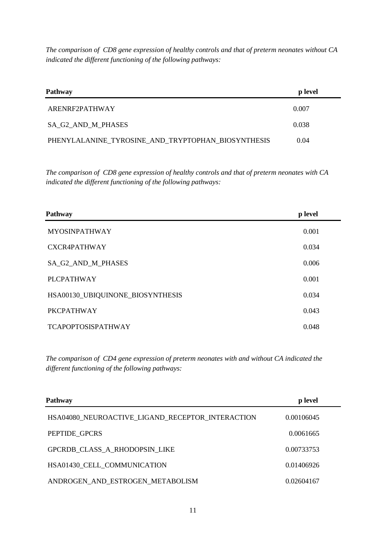*The comparison of CD8 gene expression of healthy controls and that of preterm neonates without CA indicated the different functioning of the following pathways:*

| <b>Pathway</b>                                     | p level |  |
|----------------------------------------------------|---------|--|
| ARENRF2PATHWAY                                     | 0.007   |  |
| SA G2 AND M PHASES                                 | 0.038   |  |
| PHENYLALANINE_TYROSINE_AND_TRYPTOPHAN_BIOSYNTHESIS | 0.04    |  |

*The comparison of CD8 gene expression of healthy controls and that of preterm neonates with CA indicated the different functioning of the following pathways:*

| Pathway                          | p level |
|----------------------------------|---------|
| <b>MYOSINPATHWAY</b>             | 0.001   |
| <b>CXCR4PATHWAY</b>              | 0.034   |
| SA_G2_AND_M_PHASES               | 0.006   |
| <b>PLCPATHWAY</b>                | 0.001   |
| HSA00130_UBIQUINONE_BIOSYNTHESIS | 0.034   |
| <b>PKCPATHWAY</b>                | 0.043   |
| <b>TCAPOPTOSISPATHWAY</b>        | 0.048   |

*The comparison of CD4 gene expression of preterm neonates with and without CA indicated the different functioning of the following pathways:*

| <b>Pathway</b>                                   | p level    |  |
|--------------------------------------------------|------------|--|
| HSA04080 NEUROACTIVE LIGAND RECEPTOR INTERACTION | 0.00106045 |  |
| PEPTIDE GPCRS                                    | 0.0061665  |  |
| GPCRDB CLASS A RHODOPSIN LIKE                    | 0.00733753 |  |
| HSA01430 CELL COMMUNICATION                      | 0.01406926 |  |
| ANDROGEN_AND_ESTROGEN_METABOLISM                 | 0.02604167 |  |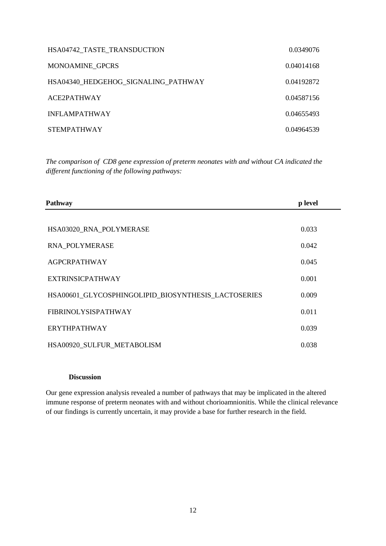| HSA04742 TASTE TRANSDUCTION         | 0.0349076  |
|-------------------------------------|------------|
| <b>MONOAMINE GPCRS</b>              | 0.04014168 |
| HSA04340 HEDGEHOG_SIGNALING_PATHWAY | 0.04192872 |
| ACE2PATHWAY                         | 0.04587156 |
| <b>INFLAMPATHWAY</b>                | 0.04655493 |
| <b>STEMPATHWAY</b>                  | 0.04964539 |

*The comparison of CD8 gene expression of preterm neonates with and without CA indicated the different functioning of the following pathways:*

| Pathway                                             | p level |
|-----------------------------------------------------|---------|
|                                                     |         |
| HSA03020 RNA POLYMERASE                             | 0.033   |
| RNA POLYMERASE                                      | 0.042   |
| <b>AGPCRPATHWAY</b>                                 | 0.045   |
| <b>EXTRINSICPATHWAY</b>                             | 0.001   |
| HSA00601_GLYCOSPHINGOLIPID_BIOSYNTHESIS_LACTOSERIES | 0.009   |
| <b>FIBRINOLYSISPATHWAY</b>                          | 0.011   |
| <b>ERYTHPATHWAY</b>                                 | 0.039   |
| HSA00920 SULFUR METABOLISM                          | 0.038   |

#### **Discussion**

Our gene expression analysis revealed a number of pathways that may be implicated in the altered immune response of preterm neonates with and without chorioamnionitis. While the clinical relevance of our findings is currently uncertain, it may provide a base for further research in the field.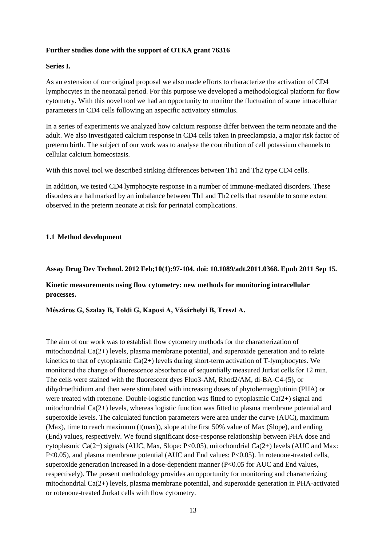# **Further studies done with the support of OTKA grant 76316**

### **Series I.**

As an extension of our original proposal we also made efforts to characterize the activation of CD4 lymphocytes in the neonatal period. For this purpose we developed a methodological platform for flow cytometry. With this novel tool we had an opportunity to monitor the fluctuation of some intracellular parameters in CD4 cells following an aspecific activatory stimulus.

In a series of experiments we analyzed how calcium response differ between the term neonate and the adult. We also investigated calcium response in CD4 cells taken in preeclampsia, a major risk factor of preterm birth. The subject of our work was to analyse the contribution of cell potassium channels to cellular calcium homeostasis.

With this novel tool we described striking differences between Th1 and Th2 type CD4 cells.

In addition, we tested CD4 lymphocyte response in a number of immune-mediated disorders. These disorders are hallmarked by an imbalance between Th1 and Th2 cells that resemble to some extent observed in the preterm neonate at risk for perinatal complications.

## **1.1 Method development**

## **Assay Drug Dev Technol. 2012 Feb;10(1):97-104. doi: 10.1089/adt.2011.0368. Epub 2011 Sep 15.**

# **Kinetic measurements using flow cytometry: new methods for monitoring intracellular processes.**

**Mészáros G, Szalay B, Toldi G, Kaposi A, Vásárhelyi B, Treszl A.**

The aim of our work was to establish flow cytometry methods for the characterization of mitochondrial Ca(2+) levels, plasma membrane potential, and superoxide generation and to relate kinetics to that of cytoplasmic  $Ca(2+)$  levels during short-term activation of T-lymphocytes. We monitored the change of fluorescence absorbance of sequentially measured Jurkat cells for 12 min. The cells were stained with the fluorescent dyes Fluo3-AM, Rhod2/AM, di-BA-C4-(5), or dihydroethidium and then were stimulated with increasing doses of phytohemagglutinin (PHA) or were treated with rotenone. Double-logistic function was fitted to cytoplasmic Ca(2+) signal and mitochondrial  $Ca(2+)$  levels, whereas logistic function was fitted to plasma membrane potential and superoxide levels. The calculated function parameters were area under the curve (AUC), maximum (Max), time to reach maximum (t(max)), slope at the first 50% value of Max (Slope), and ending (End) values, respectively. We found significant dose-response relationship between PHA dose and cytoplasmic Ca(2+) signals (AUC, Max, Slope: P<0.05), mitochondrial Ca(2+) levels (AUC and Max: P<0.05), and plasma membrane potential (AUC and End values: P<0.05). In rotenone-treated cells, superoxide generation increased in a dose-dependent manner (P<0.05 for AUC and End values, respectively). The present methodology provides an opportunity for monitoring and characterizing mitochondrial Ca(2+) levels, plasma membrane potential, and superoxide generation in PHA-activated or rotenone-treated Jurkat cells with flow cytometry.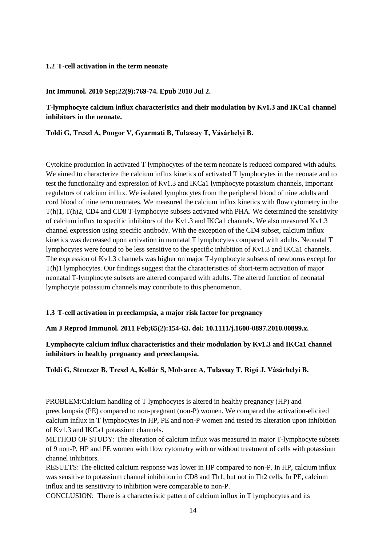## **1.2 T-cell activation in the term neonate**

### **Int Immunol. 2010 Sep;22(9):769-74. Epub 2010 Jul 2.**

# **T-lymphocyte calcium influx characteristics and their modulation by Kv1.3 and IKCa1 channel inhibitors in the neonate.**

**Toldi G, Treszl A, Pongor V, Gyarmati B, Tulassay T, Vásárhelyi B.**

Cytokine production in activated T lymphocytes of the term neonate is reduced compared with adults. We aimed to characterize the calcium influx kinetics of activated T lymphocytes in the neonate and to test the functionality and expression of Kv1.3 and IKCa1 lymphocyte potassium channels, important regulators of calcium influx. We isolated lymphocytes from the peripheral blood of nine adults and cord blood of nine term neonates. We measured the calcium influx kinetics with flow cytometry in the T(h)1, T(h)2, CD4 and CD8 T-lymphocyte subsets activated with PHA. We determined the sensitivity of calcium influx to specific inhibitors of the Kv1.3 and IKCa1 channels. We also measured Kv1.3 channel expression using specific antibody. With the exception of the CD4 subset, calcium influx kinetics was decreased upon activation in neonatal T lymphocytes compared with adults. Neonatal T lymphocytes were found to be less sensitive to the specific inhibition of Kv1.3 and IKCa1 channels. The expression of Kv1.3 channels was higher on major T-lymphocyte subsets of newborns except for T(h)1 lymphocytes. Our findings suggest that the characteristics of short-term activation of major neonatal T-lymphocyte subsets are altered compared with adults. The altered function of neonatal lymphocyte potassium channels may contribute to this phenomenon.

#### **1.3 T-cell activation in preeclampsia, a major risk factor for pregnancy**

#### **Am J Reprod Immunol. 2011 Feb;65(2):154-63. doi: 10.1111/j.1600-0897.2010.00899.x.**

**Lymphocyte calcium influx characteristics and their modulation by Kv1.3 and IKCa1 channel inhibitors in healthy pregnancy and preeclampsia.**

**Toldi G, Stenczer B, Treszl A, Kollár S, Molvarec A, Tulassay T, Rigó J, Vásárhelyi B.**

PROBLEM:Calcium handling of T lymphocytes is altered in healthy pregnancy (HP) and preeclampsia (PE) compared to non-pregnant (non-P) women. We compared the activation-elicited calcium influx in T lymphocytes in HP, PE and non-P women and tested its alteration upon inhibition of Kv1.3 and IKCa1 potassium channels.

METHOD OF STUDY: The alteration of calcium influx was measured in major T-lymphocyte subsets of 9 non-P, HP and PE women with flow cytometry with or without treatment of cells with potassium channel inhibitors.

RESULTS: The elicited calcium response was lower in HP compared to non-P. In HP, calcium influx was sensitive to potassium channel inhibition in CD8 and Th1, but not in Th2 cells. In PE, calcium influx and its sensitivity to inhibition were comparable to non-P.

CONCLUSION: There is a characteristic pattern of calcium influx in T lymphocytes and its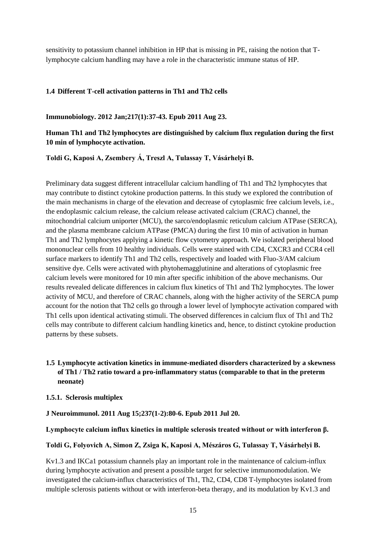sensitivity to potassium channel inhibition in HP that is missing in PE, raising the notion that Tlymphocyte calcium handling may have a role in the characteristic immune status of HP.

## **1.4 Different T-cell activation patterns in Th1 and Th2 cells**

**Immunobiology. 2012 Jan;217(1):37-43. Epub 2011 Aug 23.**

# **Human Th1 and Th2 lymphocytes are distinguished by calcium flux regulation during the first 10 min of lymphocyte activation.**

**Toldi G, Kaposi A, Zsembery Á, Treszl A, Tulassay T, Vásárhelyi B.**

Preliminary data suggest different intracellular calcium handling of Th1 and Th2 lymphocytes that may contribute to distinct cytokine production patterns. In this study we explored the contribution of the main mechanisms in charge of the elevation and decrease of cytoplasmic free calcium levels, i.e., the endoplasmic calcium release, the calcium release activated calcium (CRAC) channel, the mitochondrial calcium uniporter (MCU), the sarco/endoplasmic reticulum calcium ATPase (SERCA), and the plasma membrane calcium ATPase (PMCA) during the first 10 min of activation in human Th1 and Th2 lymphocytes applying a kinetic flow cytometry approach. We isolated peripheral blood mononuclear cells from 10 healthy individuals. Cells were stained with CD4, CXCR3 and CCR4 cell surface markers to identify Th1 and Th2 cells, respectively and loaded with Fluo-3/AM calcium sensitive dye. Cells were activated with phytohemagglutinine and alterations of cytoplasmic free calcium levels were monitored for 10 min after specific inhibition of the above mechanisms. Our results revealed delicate differences in calcium flux kinetics of Th1 and Th2 lymphocytes. The lower activity of MCU, and therefore of CRAC channels, along with the higher activity of the SERCA pump account for the notion that Th2 cells go through a lower level of lymphocyte activation compared with Th1 cells upon identical activating stimuli. The observed differences in calcium flux of Th1 and Th2 cells may contribute to different calcium handling kinetics and, hence, to distinct cytokine production patterns by these subsets.

# **1.5 Lymphocyte activation kinetics in immune-mediated disorders characterized by a skewness of Th1 / Th2 ratio toward a pro-inflammatory status (comparable to that in the preterm neonate)**

#### **1.5.1. Sclerosis multiplex**

#### **J Neuroimmunol. 2011 Aug 15;237(1-2):80-6. Epub 2011 Jul 20.**

**Lymphocyte calcium influx kinetics in multiple sclerosis treated without or with interferon β.**

#### **Toldi G, Folyovich A, Simon Z, Zsiga K, Kaposi A, Mészáros G, Tulassay T, Vásárhelyi B.**

Kv1.3 and IKCa1 potassium channels play an important role in the maintenance of calcium-influx during lymphocyte activation and present a possible target for selective immunomodulation. We investigated the calcium-influx characteristics of Th1, Th2, CD4, CD8 T-lymphocytes isolated from multiple sclerosis patients without or with interferon-beta therapy, and its modulation by Kv1.3 and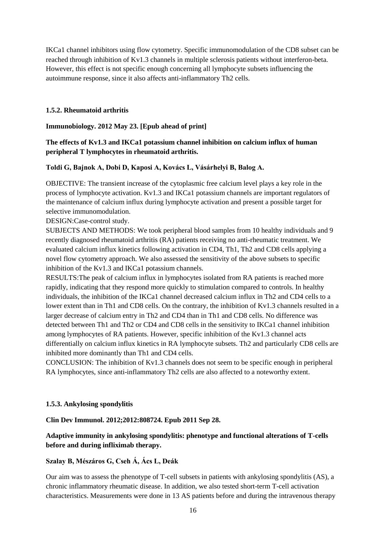IKCa1 channel inhibitors using flow cytometry. Specific immunomodulation of the CD8 subset can be reached through inhibition of Kv1.3 channels in multiple sclerosis patients without interferon-beta. However, this effect is not specific enough concerning all lymphocyte subsets influencing the autoimmune response, since it also affects anti-inflammatory Th2 cells.

#### **1.5.2. Rheumatoid arthritis**

**Immunobiology. 2012 May 23. [Epub ahead of print]**

# **The effects of Kv1.3 and IKCa1 potassium channel inhibition on calcium influx of human peripheral T lymphocytes in rheumatoid arthritis.**

#### **Toldi G, Bajnok A, Dobi D, Kaposi A, Kovács L, Vásárhelyi B, Balog A.**

OBJECTIVE: The transient increase of the cytoplasmic free calcium level plays a key role in the process of lymphocyte activation. Kv1.3 and IKCa1 potassium channels are important regulators of the maintenance of calcium influx during lymphocyte activation and present a possible target for selective immunomodulation.

DESIGN:Case-control study.

SUBJECTS AND METHODS: We took peripheral blood samples from 10 healthy individuals and 9 recently diagnosed rheumatoid arthritis (RA) patients receiving no anti-rheumatic treatment. We evaluated calcium influx kinetics following activation in CD4, Th1, Th2 and CD8 cells applying a novel flow cytometry approach. We also assessed the sensitivity of the above subsets to specific inhibition of the Kv1.3 and IKCa1 potassium channels.

RESULTS:The peak of calcium influx in lymphocytes isolated from RA patients is reached more rapidly, indicating that they respond more quickly to stimulation compared to controls. In healthy individuals, the inhibition of the IKCa1 channel decreased calcium influx in Th2 and CD4 cells to a lower extent than in Th1 and CD8 cells. On the contrary, the inhibition of Kv1.3 channels resulted in a larger decrease of calcium entry in Th2 and CD4 than in Th1 and CD8 cells. No difference was detected between Th1 and Th2 or CD4 and CD8 cells in the sensitivity to IKCa1 channel inhibition among lymphocytes of RA patients. However, specific inhibition of the Kv1.3 channel acts differentially on calcium influx kinetics in RA lymphocyte subsets. Th2 and particularly CD8 cells are inhibited more dominantly than Th1 and CD4 cells.

CONCLUSION: The inhibition of Kv1.3 channels does not seem to be specific enough in peripheral RA lymphocytes, since anti-inflammatory Th2 cells are also affected to a noteworthy extent.

#### **1.5.3. Ankylosing spondylitis**

#### **Clin Dev Immunol. 2012;2012:808724. Epub 2011 Sep 28.**

# **Adaptive immunity in ankylosing spondylitis: phenotype and functional alterations of T-cells before and during infliximab therapy.**

#### **Szalay B, Mészáros G, Cseh Á, Ács L, Deák**

Our aim was to assess the phenotype of T-cell subsets in patients with ankylosing spondylitis (AS), a chronic inflammatory rheumatic disease. In addition, we also tested short-term T-cell activation characteristics. Measurements were done in 13 AS patients before and during the intravenous therapy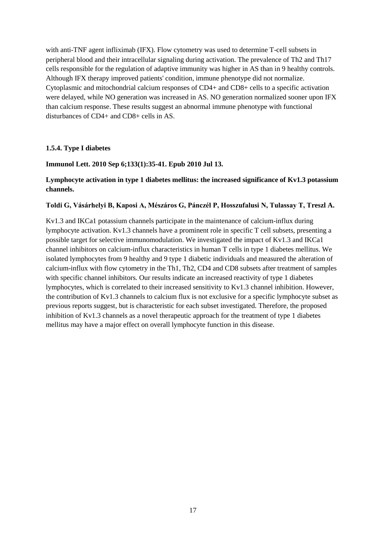with anti-TNF agent infliximab (IFX). Flow cytometry was used to determine T-cell subsets in peripheral blood and their intracellular signaling during activation. The prevalence of Th2 and Th17 cells responsible for the regulation of adaptive immunity was higher in AS than in 9 healthy controls. Although IFX therapy improved patients' condition, immune phenotype did not normalize. Cytoplasmic and mitochondrial calcium responses of CD4+ and CD8+ cells to a specific activation were delayed, while NO generation was increased in AS. NO generation normalized sooner upon IFX than calcium response. These results suggest an abnormal immune phenotype with functional disturbances of CD4+ and CD8+ cells in AS.

# **1.5.4. Type I diabetes**

## **Immunol Lett. 2010 Sep 6;133(1):35-41. Epub 2010 Jul 13.**

# **Lymphocyte activation in type 1 diabetes mellitus: the increased significance of Kv1.3 potassium channels.**

#### **Toldi G, Vásárhelyi B, Kaposi A, Mészáros G, Pánczél P, Hosszufalusi N, Tulassay T, Treszl A.**

Kv1.3 and IKCa1 potassium channels participate in the maintenance of calcium-influx during lymphocyte activation. Kv1.3 channels have a prominent role in specific T cell subsets, presenting a possible target for selective immunomodulation. We investigated the impact of Kv1.3 and IKCa1 channel inhibitors on calcium-influx characteristics in human T cells in type 1 diabetes mellitus. We isolated lymphocytes from 9 healthy and 9 type 1 diabetic individuals and measured the alteration of calcium-influx with flow cytometry in the Th1, Th2, CD4 and CD8 subsets after treatment of samples with specific channel inhibitors. Our results indicate an increased reactivity of type 1 diabetes lymphocytes, which is correlated to their increased sensitivity to Kv1.3 channel inhibition. However, the contribution of Kv1.3 channels to calcium flux is not exclusive for a specific lymphocyte subset as previous reports suggest, but is characteristic for each subset investigated. Therefore, the proposed inhibition of Kv1.3 channels as a novel therapeutic approach for the treatment of type 1 diabetes mellitus may have a major effect on overall lymphocyte function in this disease.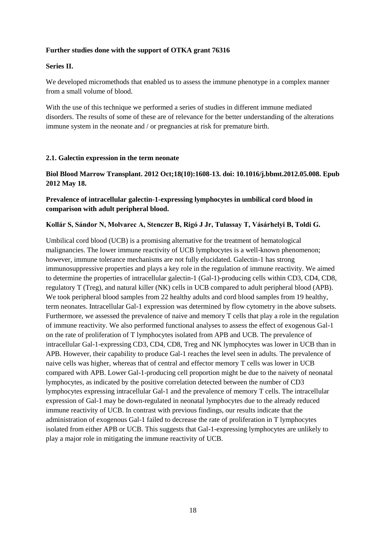## **Further studies done with the support of OTKA grant 76316**

### **Series II.**

We developed micromethods that enabled us to assess the immune phenotype in a complex manner from a small volume of blood.

With the use of this technique we performed a series of studies in different immune mediated disorders. The results of some of these are of relevance for the better understanding of the alterations immune system in the neonate and / or pregnancies at risk for premature birth.

#### **2.1. Galectin expression in the term neonate**

**Biol Blood Marrow Transplant. 2012 Oct;18(10):1608-13. doi: 10.1016/j.bbmt.2012.05.008. Epub 2012 May 18.**

# **Prevalence of intracellular galectin-1-expressing lymphocytes in umbilical cord blood in comparison with adult peripheral blood.**

## **Kollár S, Sándor N, Molvarec A, Stenczer B, Rigó J Jr, Tulassay T, Vásárhelyi B, Toldi G.**

Umbilical cord blood (UCB) is a promising alternative for the treatment of hematological malignancies. The lower immune reactivity of UCB lymphocytes is a well-known phenomenon; however, immune tolerance mechanisms are not fully elucidated. Galectin-1 has strong immunosuppressive properties and plays a key role in the regulation of immune reactivity. We aimed to determine the properties of intracellular galectin-1 (Gal-1)-producing cells within CD3, CD4, CD8, regulatory T (Treg), and natural killer (NK) cells in UCB compared to adult peripheral blood (APB). We took peripheral blood samples from 22 healthy adults and cord blood samples from 19 healthy, term neonates. Intracellular Gal-1 expression was determined by flow cytometry in the above subsets. Furthermore, we assessed the prevalence of naive and memory T cells that play a role in the regulation of immune reactivity. We also performed functional analyses to assess the effect of exogenous Gal-1 on the rate of proliferation of T lymphocytes isolated from APB and UCB. The prevalence of intracellular Gal-1-expressing CD3, CD4, CD8, Treg and NK lymphocytes was lower in UCB than in APB. However, their capability to produce Gal-1 reaches the level seen in adults. The prevalence of naive cells was higher, whereas that of central and effector memory T cells was lower in UCB compared with APB. Lower Gal-1-producing cell proportion might be due to the naivety of neonatal lymphocytes, as indicated by the positive correlation detected between the number of CD3 lymphocytes expressing intracellular Gal-1 and the prevalence of memory T cells. The intracellular expression of Gal-1 may be down-regulated in neonatal lymphocytes due to the already reduced immune reactivity of UCB. In contrast with previous findings, our results indicate that the administration of exogenous Gal-1 failed to decrease the rate of proliferation in T lymphocytes isolated from either APB or UCB. This suggests that Gal-1-expressing lymphocytes are unlikely to play a major role in mitigating the immune reactivity of UCB.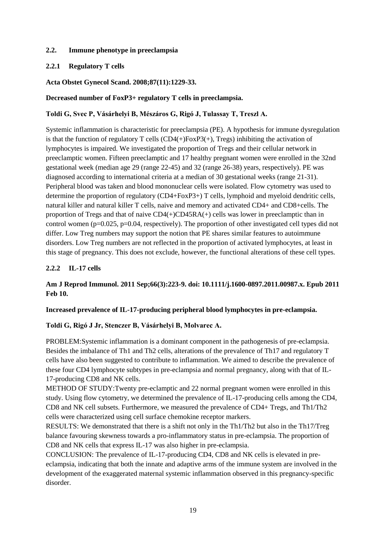# **2.2. Immune phenotype in preeclampsia**

## **2.2.1 Regulatory T cells**

## **Acta Obstet Gynecol Scand. 2008;87(11):1229-33.**

## **Decreased number of FoxP3+ regulatory T cells in preeclampsia.**

## **Toldi G, Svec P, Vásárhelyi B, Mészáros G, Rigó J, Tulassay T, Treszl A.**

Systemic inflammation is characteristic for preeclampsia (PE). A hypothesis for immune dysregulation is that the function of regulatory T cells  $(CD4(+)FoxP3(+)$ , Tregs) inhibiting the activation of lymphocytes is impaired. We investigated the proportion of Tregs and their cellular network in preeclamptic women. Fifteen preeclamptic and 17 healthy pregnant women were enrolled in the 32nd gestational week (median age 29 (range 22-45) and 32 (range 26-38) years, respectively). PE was diagnosed according to international criteria at a median of 30 gestational weeks (range 21-31). Peripheral blood was taken and blood mononuclear cells were isolated. Flow cytometry was used to determine the proportion of regulatory (CD4+FoxP3+) T cells, lymphoid and myeloid dendritic cells, natural killer and natural killer T cells, naive and memory and activated CD4+ and CD8+cells. The proportion of Tregs and that of naive  $CD4(+)CD45RA(+)$  cells was lower in preeclamptic than in control women ( $p=0.025$ ,  $p=0.04$ , respectively). The proportion of other investigated cell types did not differ. Low Treg numbers may support the notion that PE shares similar features to autoimmune disorders. Low Treg numbers are not reflected in the proportion of activated lymphocytes, at least in this stage of pregnancy. This does not exclude, however, the functional alterations of these cell types.

# **2.2.2 IL-17 cells**

# **Am J Reprod Immunol. 2011 Sep;66(3):223-9. doi: 10.1111/j.1600-0897.2011.00987.x. Epub 2011 Feb 10.**

#### **Increased prevalence of IL-17-producing peripheral blood lymphocytes in pre-eclampsia.**

#### **Toldi G, Rigó J Jr, Stenczer B, Vásárhelyi B, Molvarec A.**

PROBLEM:Systemic inflammation is a dominant component in the pathogenesis of pre-eclampsia. Besides the imbalance of Th1 and Th2 cells, alterations of the prevalence of Th17 and regulatory T cells have also been suggested to contribute to inflammation. We aimed to describe the prevalence of these four CD4 lymphocyte subtypes in pre-eclampsia and normal pregnancy, along with that of IL-17-producing CD8 and NK cells.

METHOD OF STUDY:Twenty pre-eclamptic and 22 normal pregnant women were enrolled in this study. Using flow cytometry, we determined the prevalence of IL-17-producing cells among the CD4, CD8 and NK cell subsets. Furthermore, we measured the prevalence of CD4+ Tregs, and Th1/Th2 cells were characterized using cell surface chemokine receptor markers.

RESULTS: We demonstrated that there is a shift not only in the Th1/Th2 but also in the Th17/Treg balance favouring skewness towards a pro-inflammatory status in pre-eclampsia. The proportion of CD8 and NK cells that express IL-17 was also higher in pre-eclampsia.

CONCLUSION: The prevalence of IL-17-producing CD4, CD8 and NK cells is elevated in preeclampsia, indicating that both the innate and adaptive arms of the immune system are involved in the development of the exaggerated maternal systemic inflammation observed in this pregnancy-specific disorder.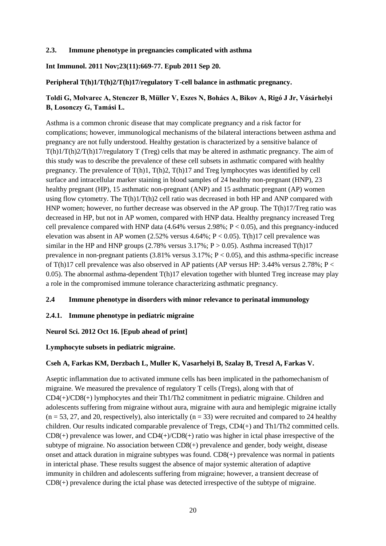## **2.3. Immune phenotype in pregnancies complicated with asthma**

**Int Immunol. 2011 Nov;23(11):669-77. Epub 2011 Sep 20.**

## **Peripheral T(h)1/T(h)2/T(h)17/regulatory T-cell balance in asthmatic pregnancy.**

# **Toldi G, Molvarec A, Stenczer B, Müller V, Eszes N, Bohács A, Bikov A, Rigó J Jr, Vásárhelyi B, Losonczy G, Tamási L.**

Asthma is a common chronic disease that may complicate pregnancy and a risk factor for complications; however, immunological mechanisms of the bilateral interactions between asthma and pregnancy are not fully understood. Healthy gestation is characterized by a sensitive balance of T(h)1/T(h)2/T(h)17/regulatory T (Treg) cells that may be altered in asthmatic pregnancy. The aim of this study was to describe the prevalence of these cell subsets in asthmatic compared with healthy pregnancy. The prevalence of T(h)1, T(h)2, T(h)17 and Treg lymphocytes was identified by cell surface and intracellular marker staining in blood samples of 24 healthy non-pregnant (HNP), 23 healthy pregnant (HP), 15 asthmatic non-pregnant (ANP) and 15 asthmatic pregnant (AP) women using flow cytometry. The T(h)1/T(h)2 cell ratio was decreased in both HP and ANP compared with HNP women; however, no further decrease was observed in the AP group. The T(h)17/Treg ratio was decreased in HP, but not in AP women, compared with HNP data. Healthy pregnancy increased Treg cell prevalence compared with HNP data  $(4.64\%$  versus 2.98%; P < 0.05), and this pregnancy-induced elevation was absent in AP women  $(2.52\%$  versus  $4.64\%; P < 0.05)$ . T(h)17 cell prevalence was similar in the HP and HNP groups (2.78% versus 3.17%;  $P > 0.05$ ). Asthma increased T(h)17 prevalence in non-pregnant patients  $(3.81\%$  versus  $3.17\%$ ; P < 0.05), and this asthma-specific increase of T(h)17 cell prevalence was also observed in AP patients (AP versus HP: 3.44% versus 2.78%; P < 0.05). The abnormal asthma-dependent T(h)17 elevation together with blunted Treg increase may play a role in the compromised immune tolerance characterizing asthmatic pregnancy.

# **2.4 Immune phenotype in disorders with minor relevance to perinatal immunology**

#### **2.4.1. Immune phenotype in pediatric migraine**

# **Neurol Sci. 2012 Oct 16. [Epub ahead of print]**

#### **Lymphocyte subsets in pediatric migraine.**

# **Cseh A, Farkas KM, Derzbach L, Muller K, Vasarhelyi B, Szalay B, Treszl A, Farkas V.**

Aseptic inflammation due to activated immune cells has been implicated in the pathomechanism of migraine. We measured the prevalence of regulatory T cells (Tregs), along with that of  $CD4(+)/CD8(+)$  lymphocytes and their Th1/Th2 commitment in pediatric migraine. Children and adolescents suffering from migraine without aura, migraine with aura and hemiplegic migraine ictally  $(n = 53, 27, and 20, respectively)$ , also interictally  $(n = 33)$  were recruited and compared to 24 healthy children. Our results indicated comparable prevalence of Tregs, CD4(+) and Th1/Th2 committed cells.  $CD8(+)$  prevalence was lower, and  $CD4(+)/CD8(+)$  ratio was higher in ictal phase irrespective of the subtype of migraine. No association between CD8(+) prevalence and gender, body weight, disease onset and attack duration in migraine subtypes was found. CD8(+) prevalence was normal in patients in interictal phase. These results suggest the absence of major systemic alteration of adaptive immunity in children and adolescents suffering from migraine; however, a transient decrease of CD8(+) prevalence during the ictal phase was detected irrespective of the subtype of migraine.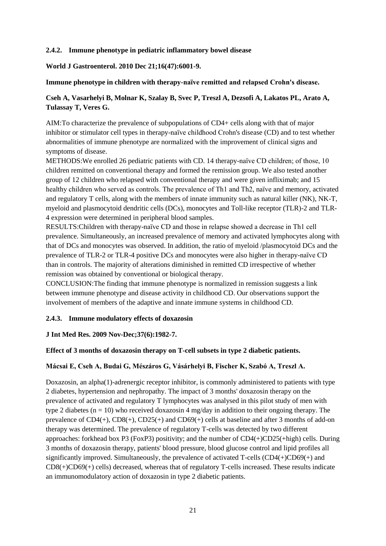## **2.4.2. Immune phenotype in pediatric inflammatory bowel disease**

## **World J Gastroenterol. 2010 Dec 21;16(47):6001-9.**

### **Immune phenotype in children with therapy-naïve remitted and relapsed Crohn's disease.**

# **Cseh A, Vasarhelyi B, Molnar K, Szalay B, Svec P, Treszl A, Dezsofi A, Lakatos PL, Arato A, Tulassay T, Veres G.**

AIM:To characterize the prevalence of subpopulations of CD4+ cells along with that of major inhibitor or stimulator cell types in therapy-naïve childhood Crohn's disease (CD) and to test whether abnormalities of immune phenotype are normalized with the improvement of clinical signs and symptoms of disease.

METHODS:We enrolled 26 pediatric patients with CD. 14 therapy-naïve CD children; of those, 10 children remitted on conventional therapy and formed the remission group. We also tested another group of 12 children who relapsed with conventional therapy and were given infliximab; and 15 healthy children who served as controls. The prevalence of Th1 and Th2, naïve and memory, activated and regulatory T cells, along with the members of innate immunity such as natural killer (NK), NK-T, myeloid and plasmocytoid dendritic cells (DCs), monocytes and Toll-like receptor (TLR)-2 and TLR-4 expression were determined in peripheral blood samples.

RESULTS:Children with therapy-naïve CD and those in relapse showed a decrease in Th1 cell prevalence. Simultaneously, an increased prevalence of memory and activated lymphocytes along with that of DCs and monocytes was observed. In addition, the ratio of myeloid /plasmocytoid DCs and the prevalence of TLR-2 or TLR-4 positive DCs and monocytes were also higher in therapy-naïve CD than in controls. The majority of alterations diminished in remitted CD irrespective of whether remission was obtained by conventional or biological therapy.

CONCLUSION:The finding that immune phenotype is normalized in remission suggests a link between immune phenotype and disease activity in childhood CD. Our observations support the involvement of members of the adaptive and innate immune systems in childhood CD.

#### **2.4.3. Immune modulatory effects of doxazosin**

# **J Int Med Res. 2009 Nov-Dec;37(6):1982-7.**

# **Effect of 3 months of doxazosin therapy on T-cell subsets in type 2 diabetic patients.**

# **Mácsai E, Cseh A, Budai G, Mészáros G, Vásárhelyi B, Fischer K, Szabó A, Treszl A.**

Doxazosin, an alpha(1)-adrenergic receptor inhibitor, is commonly administered to patients with type 2 diabetes, hypertension and nephropathy. The impact of 3 months' doxazosin therapy on the prevalence of activated and regulatory T lymphocytes was analysed in this pilot study of men with type 2 diabetes ( $n = 10$ ) who received doxazosin 4 mg/day in addition to their ongoing therapy. The prevalence of CD4(+), CD8(+), CD25(+) and CD69(+) cells at baseline and after 3 months of add-on therapy was determined. The prevalence of regulatory T-cells was detected by two different approaches: forkhead box P3 (FoxP3) positivity; and the number of CD4(+)CD25(+high) cells. During 3 months of doxazosin therapy, patients' blood pressure, blood glucose control and lipid profiles all significantly improved. Simultaneously, the prevalence of activated T-cells (CD4(+)CD69(+) and CD8(+)CD69(+) cells) decreased, whereas that of regulatory T-cells increased. These results indicate an immunomodulatory action of doxazosin in type 2 diabetic patients.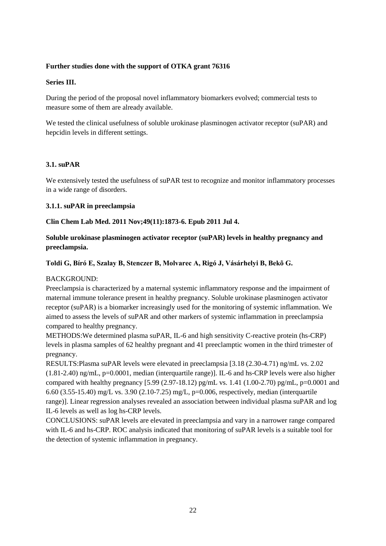# **Further studies done with the support of OTKA grant 76316**

## **Series III.**

During the period of the proposal novel inflammatory biomarkers evolved; commercial tests to measure some of them are already available.

We tested the clinical usefulness of soluble urokinase plasminogen activator receptor (suPAR) and hepcidin levels in different settings.

# **3.1. suPAR**

We extensively tested the usefulness of suPAR test to recognize and monitor inflammatory processes in a wide range of disorders.

## **3.1.1. suPAR in preeclampsia**

## **Clin Chem Lab Med. 2011 Nov;49(11):1873-6. Epub 2011 Jul 4.**

# **Soluble urokinase plasminogen activator receptor (suPAR) levels in healthy pregnancy and preeclampsia.**

## **Toldi G, Bíró E, Szalay B, Stenczer B, Molvarec A, Rigó J, Vásárhelyi B, Bekõ G.**

# BACKGROUND:

Preeclampsia is characterized by a maternal systemic inflammatory response and the impairment of maternal immune tolerance present in healthy pregnancy. Soluble urokinase plasminogen activator receptor (suPAR) is a biomarker increasingly used for the monitoring of systemic inflammation. We aimed to assess the levels of suPAR and other markers of systemic inflammation in preeclampsia compared to healthy pregnancy.

METHODS:We determined plasma suPAR, IL-6 and high sensitivity C-reactive protein (hs-CRP) levels in plasma samples of 62 healthy pregnant and 41 preeclamptic women in the third trimester of pregnancy.

RESULTS:Plasma suPAR levels were elevated in preeclampsia [3.18 (2.30-4.71) ng/mL vs. 2.02  $(1.81-2.40)$  ng/mL, p=0.0001, median (interquartile range)]. IL-6 and hs-CRP levels were also higher compared with healthy pregnancy [5.99 (2.97-18.12) pg/mL vs. 1.41 (1.00-2.70) pg/mL, p=0.0001 and 6.60 (3.55-15.40) mg/L vs. 3.90 (2.10-7.25) mg/L, p=0.006, respectively, median (interquartile range)]. Linear regression analyses revealed an association between individual plasma suPAR and log IL-6 levels as well as log hs-CRP levels.

CONCLUSIONS: suPAR levels are elevated in preeclampsia and vary in a narrower range compared with IL-6 and hs-CRP. ROC analysis indicated that monitoring of suPAR levels is a suitable tool for the detection of systemic inflammation in pregnancy.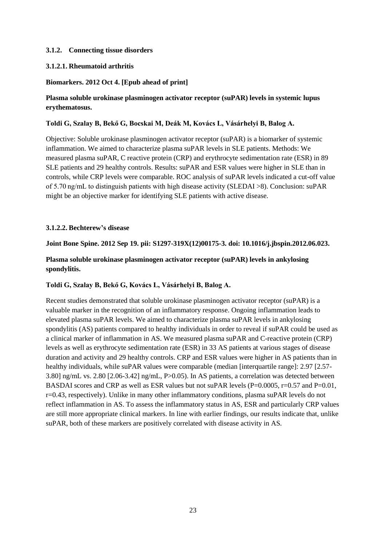## **3.1.2. Connecting tissue disorders**

## **3.1.2.1. Rheumatoid arthritis**

## **Biomarkers. 2012 Oct 4. [Epub ahead of print]**

# **Plasma soluble urokinase plasminogen activator receptor (suPAR) levels in systemic lupus erythematosus.**

### **Toldi G, Szalay B, Bekő G, Bocskai M, Deák M, Kovács L, Vásárhelyi B, Balog A.**

Objective: Soluble urokinase plasminogen activator receptor (suPAR) is a biomarker of systemic inflammation. We aimed to characterize plasma suPAR levels in SLE patients. Methods: We measured plasma suPAR, C reactive protein (CRP) and erythrocyte sedimentation rate (ESR) in 89 SLE patients and 29 healthy controls. Results: suPAR and ESR values were higher in SLE than in controls, while CRP levels were comparable. ROC analysis of suPAR levels indicated a cut-off value of 5.70 ng/mL to distinguish patients with high disease activity (SLEDAI >8). Conclusion: suPAR might be an objective marker for identifying SLE patients with active disease.

## **3.1.2.2. Bechterew's disease**

#### **Joint Bone Spine. 2012 Sep 19. pii: S1297-319X(12)00175-3. doi: 10.1016/j.jbspin.2012.06.023.**

**Plasma soluble urokinase plasminogen activator receptor (suPAR) levels in ankylosing spondylitis.**

#### **Toldi G, Szalay B, Bekő G, Kovács L, Vásárhelyi B, Balog A.**

Recent studies demonstrated that soluble urokinase plasminogen activator receptor (suPAR) is a valuable marker in the recognition of an inflammatory response. Ongoing inflammation leads to elevated plasma suPAR levels. We aimed to characterize plasma suPAR levels in ankylosing spondylitis (AS) patients compared to healthy individuals in order to reveal if suPAR could be used as a clinical marker of inflammation in AS. We measured plasma suPAR and C-reactive protein (CRP) levels as well as erythrocyte sedimentation rate (ESR) in 33 AS patients at various stages of disease duration and activity and 29 healthy controls. CRP and ESR values were higher in AS patients than in healthy individuals, while suPAR values were comparable (median [interquartile range]: 2.97 [2.57- 3.80] ng/mL vs. 2.80 [2.06-3.42] ng/mL, P>0.05). In AS patients, a correlation was detected between BASDAI scores and CRP as well as ESR values but not suPAR levels  $(P=0.0005, r=0.57$  and  $P=0.01$ , r=0.43, respectively). Unlike in many other inflammatory conditions, plasma suPAR levels do not reflect inflammation in AS. To assess the inflammatory status in AS, ESR and particularly CRP values are still more appropriate clinical markers. In line with earlier findings, our results indicate that, unlike suPAR, both of these markers are positively correlated with disease activity in AS.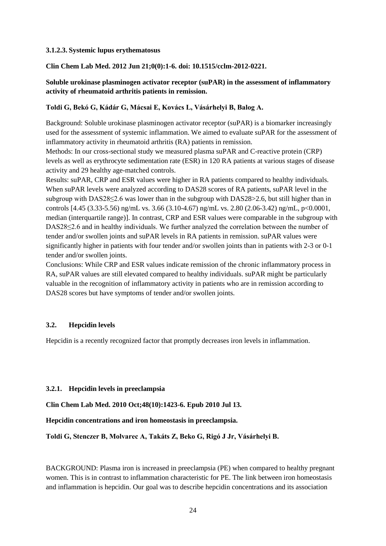#### **3.1.2.3. Systemic lupus erythematosus**

#### **Clin Chem Lab Med. 2012 Jun 21;0(0):1-6. doi: 10.1515/cclm-2012-0221.**

## **Soluble urokinase plasminogen activator receptor (suPAR) in the assessment of inflammatory activity of rheumatoid arthritis patients in remission.**

#### **Toldi G, Bekó G, Kádár G, Mácsai E, Kovács L, Vásárhelyi B, Balog A.**

Background: Soluble urokinase plasminogen activator receptor (suPAR) is a biomarker increasingly used for the assessment of systemic inflammation. We aimed to evaluate suPAR for the assessment of inflammatory activity in rheumatoid arthritis (RA) patients in remission.

Methods: In our cross-sectional study we measured plasma suPAR and C-reactive protein (CRP) levels as well as erythrocyte sedimentation rate (ESR) in 120 RA patients at various stages of disease activity and 29 healthy age-matched controls.

Results: suPAR, CRP and ESR values were higher in RA patients compared to healthy individuals. When suPAR levels were analyzed according to DAS28 scores of RA patients, suPAR level in the subgroup with DAS28≤2.6 was lower than in the subgroup with DAS28>2.6, but still higher than in controls [4.45 (3.33-5.56) ng/mL vs. 3.66 (3.10-4.67) ng/mL vs. 2.80 (2.06-3.42) ng/mL, p<0.0001, median (interquartile range)]. In contrast, CRP and ESR values were comparable in the subgroup with DAS28≤2.6 and in healthy individuals. We further analyzed the correlation between the number of tender and/or swollen joints and suPAR levels in RA patients in remission. suPAR values were significantly higher in patients with four tender and/or swollen joints than in patients with 2-3 or 0-1 tender and/or swollen joints.

Conclusions: While CRP and ESR values indicate remission of the chronic inflammatory process in RA, suPAR values are still elevated compared to healthy individuals. suPAR might be particularly valuable in the recognition of inflammatory activity in patients who are in remission according to DAS28 scores but have symptoms of tender and/or swollen joints.

#### **3.2. Hepcidin levels**

Hepcidin is a recently recognized factor that promptly decreases iron levels in inflammation.

#### **3.2.1. Hepcidin levels in preeclampsia**

**Clin Chem Lab Med. 2010 Oct;48(10):1423-6. Epub 2010 Jul 13.**

**Hepcidin concentrations and iron homeostasis in preeclampsia.**

**Toldi G, Stenczer B, Molvarec A, Takáts Z, Beko G, Rigó J Jr, Vásárhelyi B.**

BACKGROUND: Plasma iron is increased in preeclampsia (PE) when compared to healthy pregnant women. This is in contrast to inflammation characteristic for PE. The link between iron homeostasis and inflammation is hepcidin. Our goal was to describe hepcidin concentrations and its association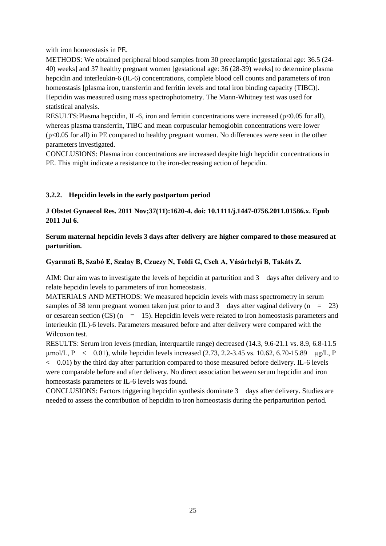with iron homeostasis in PE.

METHODS: We obtained peripheral blood samples from 30 preeclamptic [gestational age: 36.5 (24- 40) weeks] and 37 healthy pregnant women [gestational age: 36 (28-39) weeks] to determine plasma hepcidin and interleukin-6 (IL-6) concentrations, complete blood cell counts and parameters of iron homeostasis [plasma iron, transferrin and ferritin levels and total iron binding capacity (TIBC)]. Hepcidin was measured using mass spectrophotometry. The Mann-Whitney test was used for statistical analysis.

RESULTS: Plasma hepcidin, IL-6, iron and ferritin concentrations were increased ( $p<0.05$  for all), whereas plasma transferrin, TIBC and mean corpuscular hemoglobin concentrations were lower (p<0.05 for all) in PE compared to healthy pregnant women. No differences were seen in the other parameters investigated.

CONCLUSIONS: Plasma iron concentrations are increased despite high hepcidin concentrations in PE. This might indicate a resistance to the iron-decreasing action of hepcidin.

# **3.2.2. Hepcidin levels in the early postpartum period**

**J Obstet Gynaecol Res. 2011 Nov;37(11):1620-4. doi: 10.1111/j.1447-0756.2011.01586.x. Epub 2011 Jul 6.**

**Serum maternal hepcidin levels 3 days after delivery are higher compared to those measured at parturition.**

**Gyarmati B, Szabó E, Szalay B, Czuczy N, Toldi G, Cseh A, Vásárhelyi B, Takáts Z.**

AIM: Our aim was to investigate the levels of hepcidin at parturition and 3 days after delivery and to relate hepcidin levels to parameters of iron homeostasis.

MATERIALS AND METHODS: We measured hepcidin levels with mass spectrometry in serum samples of 38 term pregnant women taken just prior to and 3 days after vaginal delivery  $(n = 23)$ or cesarean section (CS)  $(n = 15)$ . Hepcidin levels were related to iron homeostasis parameters and interleukin (IL)-6 levels. Parameters measured before and after delivery were compared with the Wilcoxon test.

RESULTS: Serum iron levels (median, interquartile range) decreased (14.3, 9.6-21.1 vs. 8.9, 6.8-11.5 umol/L,  $P \le 0.01$ ), while hepcidin levels increased (2.73, 2.2-3.45 vs. 10.62, 6.70-15.89  $\mu$ g/L, P  $<$  0.01) by the third day after parturition compared to those measured before delivery. IL-6 levels were comparable before and after delivery. No direct association between serum hepcidin and iron homeostasis parameters or IL-6 levels was found.

CONCLUSIONS: Factors triggering hepcidin synthesis dominate 3 days after delivery. Studies are needed to assess the contribution of hepcidin to iron homeostasis during the periparturition period.